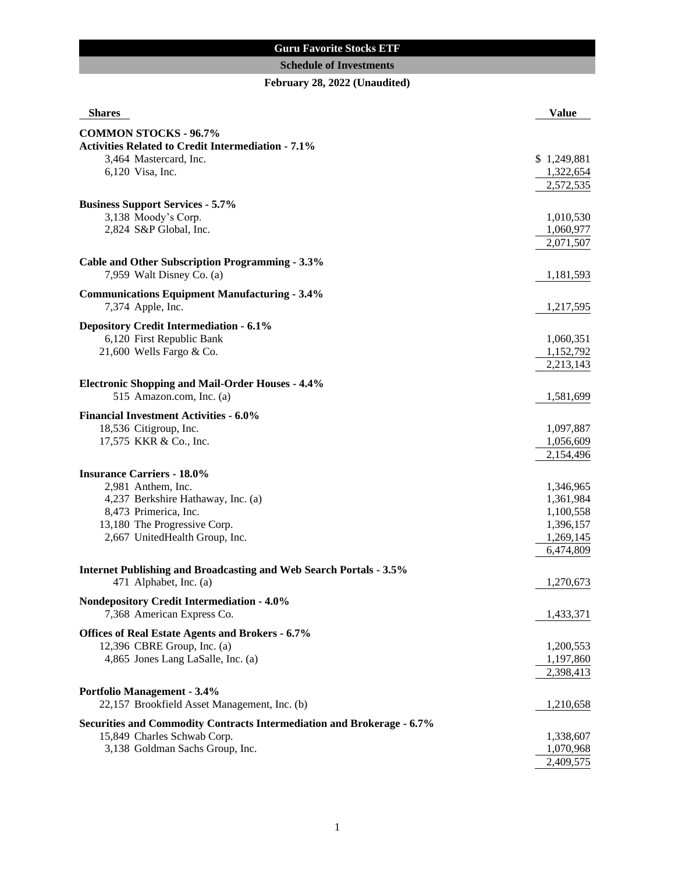## **Guru Favorite Stocks ETF**

## **Schedule of Investments**

# **February 28, 2022 (Unaudited)**

| <b>Shares</b>                                                             | <b>Value</b>           |
|---------------------------------------------------------------------------|------------------------|
| <b>COMMON STOCKS - 96.7%</b>                                              |                        |
| <b>Activities Related to Credit Intermediation - 7.1%</b>                 |                        |
| 3,464 Mastercard, Inc.                                                    | \$1,249,881            |
| 6,120 Visa, Inc.                                                          | 1,322,654              |
|                                                                           | 2,572,535              |
|                                                                           |                        |
| <b>Business Support Services - 5.7%</b>                                   |                        |
| 3,138 Moody's Corp.                                                       | 1,010,530              |
| 2,824 S&P Global, Inc.                                                    | 1,060,977              |
|                                                                           | 2,071,507              |
| <b>Cable and Other Subscription Programming - 3.3%</b>                    |                        |
| 7,959 Walt Disney Co. (a)                                                 | 1,181,593              |
| <b>Communications Equipment Manufacturing - 3.4%</b>                      |                        |
| 7,374 Apple, Inc.                                                         | 1,217,595              |
|                                                                           |                        |
| <b>Depository Credit Intermediation - 6.1%</b>                            |                        |
| 6,120 First Republic Bank                                                 | 1,060,351              |
| 21,600 Wells Fargo & Co.                                                  | 1,152,792              |
|                                                                           | 2,213,143              |
| <b>Electronic Shopping and Mail-Order Houses - 4.4%</b>                   |                        |
| 515 Amazon.com, Inc. (a)                                                  | 1,581,699              |
|                                                                           |                        |
| <b>Financial Investment Activities - 6.0%</b>                             |                        |
| 18,536 Citigroup, Inc.                                                    | 1,097,887              |
| 17,575 KKR & Co., Inc.                                                    | 1,056,609<br>2,154,496 |
|                                                                           |                        |
| <b>Insurance Carriers - 18.0%</b>                                         |                        |
| 2,981 Anthem, Inc.                                                        | 1,346,965              |
| 4,237 Berkshire Hathaway, Inc. (a)                                        | 1,361,984              |
| 8,473 Primerica, Inc.                                                     | 1,100,558              |
| 13,180 The Progressive Corp.                                              | 1,396,157              |
| 2,667 UnitedHealth Group, Inc.                                            | 1,269,145              |
|                                                                           | 6,474,809              |
| <b>Internet Publishing and Broadcasting and Web Search Portals - 3.5%</b> |                        |
| 471 Alphabet, Inc. (a)                                                    | 1,270,673              |
| <b>Nondepository Credit Intermediation - 4.0%</b>                         |                        |
| 7,368 American Express Co.                                                | 1,433,371              |
|                                                                           |                        |
| Offices of Real Estate Agents and Brokers - 6.7%                          |                        |
| 12,396 CBRE Group, Inc. (a)                                               | 1,200,553              |
| 4,865 Jones Lang LaSalle, Inc. (a)                                        | 1,197,860              |
|                                                                           | 2,398,413              |
| Portfolio Management - 3.4%                                               |                        |
| 22,157 Brookfield Asset Management, Inc. (b)                              | 1,210,658              |
|                                                                           |                        |
| Securities and Commodity Contracts Intermediation and Brokerage - 6.7%    |                        |
| 15,849 Charles Schwab Corp.                                               | 1,338,607              |
| 3,138 Goldman Sachs Group, Inc.                                           | 1,070,968<br>2,409,575 |
|                                                                           |                        |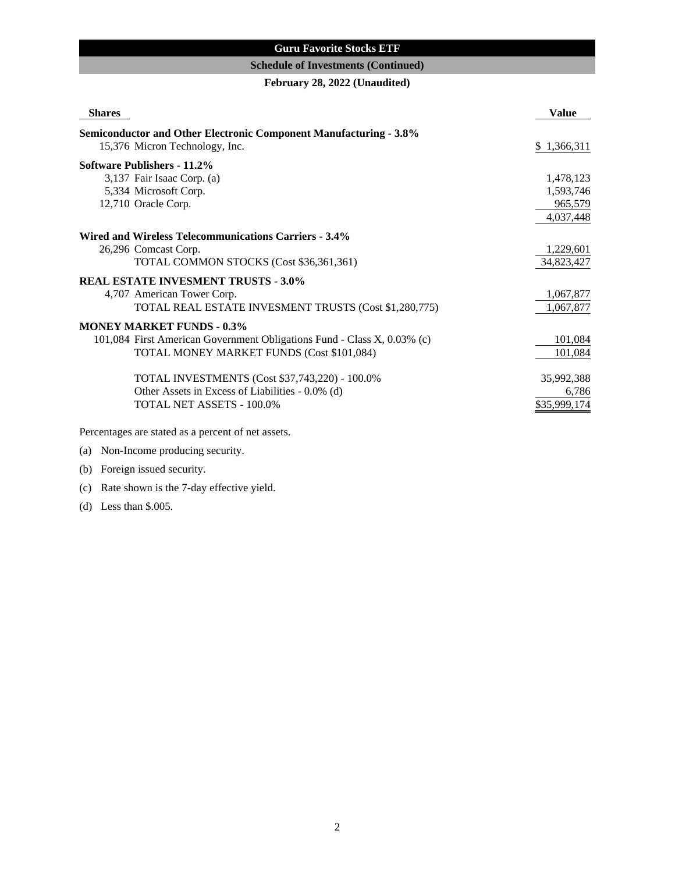## **Guru Favorite Stocks ETF**

### **Schedule of Investments (Continued)**

**February 28, 2022 (Unaudited)**

| <b>Shares</b>                                                            | <b>Value</b> |
|--------------------------------------------------------------------------|--------------|
| <b>Semiconductor and Other Electronic Component Manufacturing - 3.8%</b> |              |
| 15,376 Micron Technology, Inc.                                           | \$1,366,311  |
| Software Publishers - 11.2%                                              |              |
| 3,137 Fair Isaac Corp. (a)                                               | 1,478,123    |
| 5,334 Microsoft Corp.                                                    | 1,593,746    |
| 12,710 Oracle Corp.                                                      | 965,579      |
|                                                                          | 4,037,448    |
| Wired and Wireless Telecommunications Carriers - 3.4%                    |              |
| 26,296 Comcast Corp.                                                     | 1,229,601    |
| TOTAL COMMON STOCKS (Cost \$36,361,361)                                  | 34,823,427   |
| <b>REAL ESTATE INVESMENT TRUSTS - 3.0%</b>                               |              |
| 4,707 American Tower Corp.                                               | 1,067,877    |
| TOTAL REAL ESTATE INVESMENT TRUSTS (Cost \$1,280,775)                    | 1,067,877    |
| <b>MONEY MARKET FUNDS - 0.3%</b>                                         |              |
| 101,084 First American Government Obligations Fund - Class X, 0.03% (c)  | 101,084      |
| TOTAL MONEY MARKET FUNDS (Cost \$101,084)                                | 101,084      |
| TOTAL INVESTMENTS (Cost \$37,743,220) - 100.0%                           | 35,992,388   |
| Other Assets in Excess of Liabilities - 0.0% (d)                         | 6,786        |
| TOTAL NET ASSETS - 100.0%                                                | \$35,999,174 |
| Percentages are stated as a percent of net assets.                       |              |

# (a) Non-Income producing security.

# (b) Foreign issued security.

# (c) Rate shown is the 7-day effective yield.

(d) Less than \$.005.